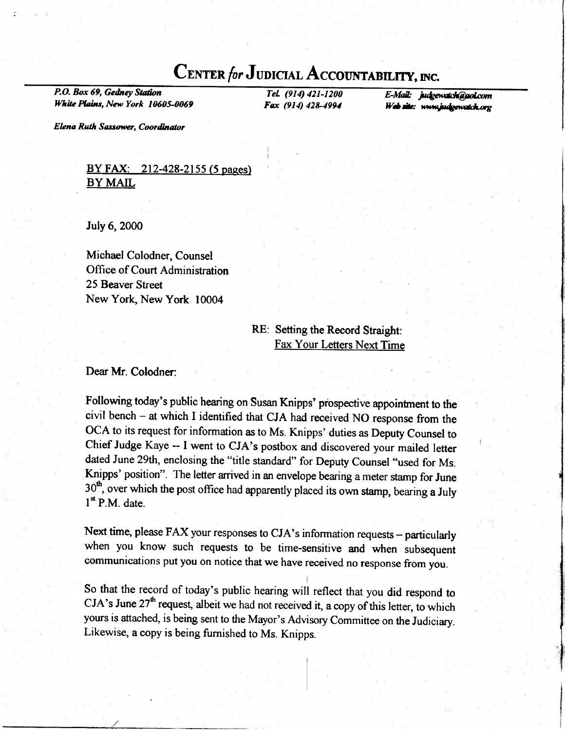# CENTER for JUDICIAL ACCOUNTABILITY, INC.

P.O. Box 69, Gedney Station White Plains, New York 10605-0069

TeL (914) 421-1200 Fox (914) 428-4994

E-Mail: judgewatch@gol.com Web site: www.judgewatch.org

Elena Ruth Sassower, Coordinator

### BY FAX: 212-428-2155 (5 pages) BY MAIL

July 6, 2000

Michael Colodner, Counsel Office of Court Administration 25 Beaver Street New York, New York 10004

### RE: Setting the Record Straight: Fax Your Letters Next Time

Dear Mr. Colodner:

Following today's public hearing on Susan Knipps' prospective appointment to the civil bench - at which I identified that CJA had received NO response from the OCA to its request for information as to Ms. Knipps' duties as Deputy Counsel to Chief Judge Kaye -- I went to CJA's postbox and discovered your mailed letter dated June 29th, enclosing the "title standard" for Deputy Counsel "used for Ms. Knipps' position". The letter arrived in an envelope bearing a meter stamp for June  $30<sup>th</sup>$ , over which the post office had apparently placed its own stamp, bearing a July  $1<sup>st</sup>$  P.M. date.

Next time, please FAX your responses to CJA's information requests - particularly when you know such requests to be time-sensitive and when subsequent communications put you on notice that we have received no response from you.

So that the record of today's public hearing will reflect that you did respond to  $CJA's June 27<sup>th</sup> request, albeit we had not received it, a copy of this letter, to which$ yours is attached, is being sent to the Mayor's Advisory Commiffee on the Judiciary. Likewise, a copy is being furnished to Ms. Knipps.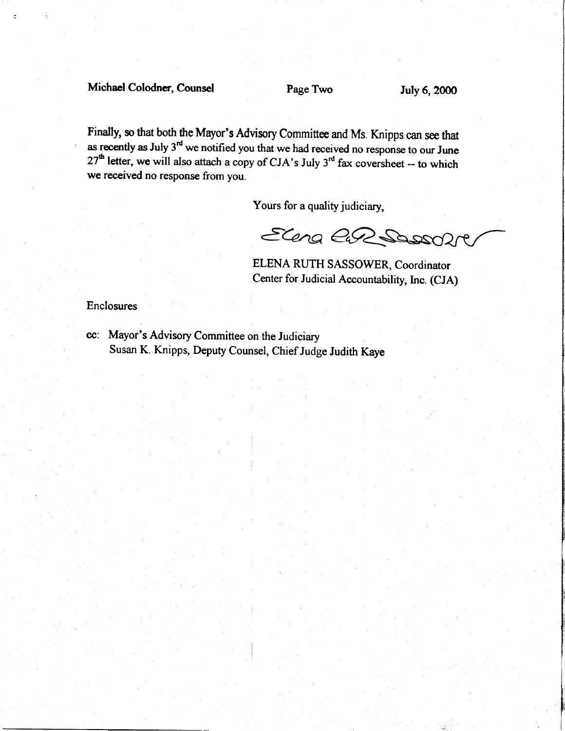## Michael Colodner, Counsel Page Two July 6, 2000

i

Finally, so that both the Mayor's Advisory Committee and Ms. Knipps can see that as recently as July  $3<sup>rd</sup>$  we notified you that we had received no response to our June  $27<sup>th</sup>$  letter, we will also attach a copy of CJA's July 3<sup>rd</sup> fax coversheet -- to which we received no response from you.

Yours for a quality judiciary,

Elena CaR Sossol

ELENA RUTH SASSOWER, Coordinator Center for Judicial Accountability, Inc. (CJA)

Enclosures

cc: Mayor's Advisory Committee on the Judiciary Susan K. Knipps, Deputy Counsel, Chief Judge Judith Kaye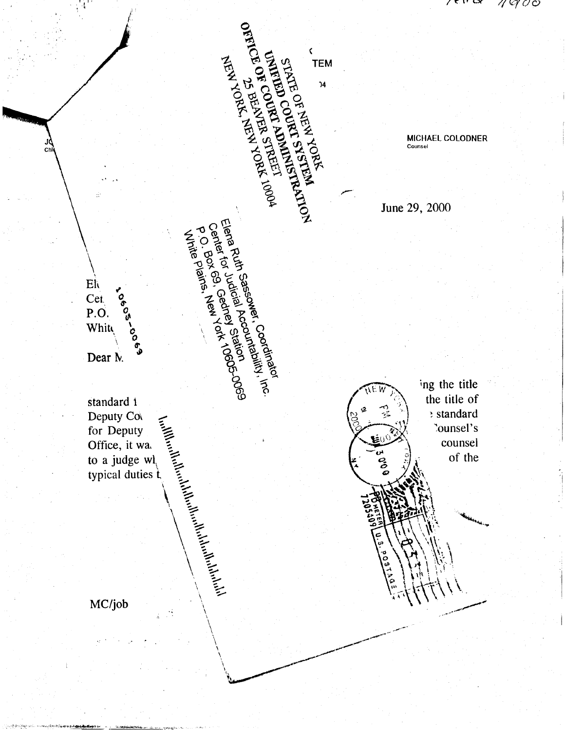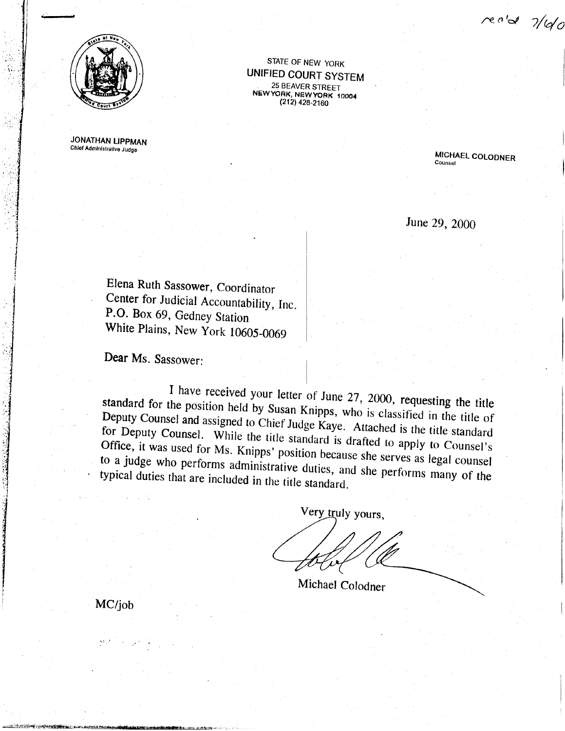rec'd 7/10



**JONATHAN LIPPMAN** Chief Administrative Judge

STATE OF NEW YORK **UNIFIED COURT SYSTEM** 25 BEAVER STREET<br>NEW YORK, NEW YORK 10004<br>(212) 428-2160

> MICHAEL COLODNER Counsel

June 29, 2000

Elena Ruth Sassower, Coordinator Center for Judicial Accountability, Inc. P.O. Box 69, Gedney Station White Plains, New York 10605-0069

Dear Ms. Sassower:

I have received your letter of June 27, 2000, requesting the title standard for the position held by Susan Knipps, who is classified in the title of Deputy Counsel and assigned to Chief Judge Kaye. Attached is the title standard for Deputy Counsel. While the title standard is drafted to apply to Counsel's Office, it was used for Ms. Knipps' position because she serves as legal counsel to a judge who performs administrative duties, and she performs many of the typical duties that are included in the title standard.

Very truly yours,

Michael Colodner

MC/job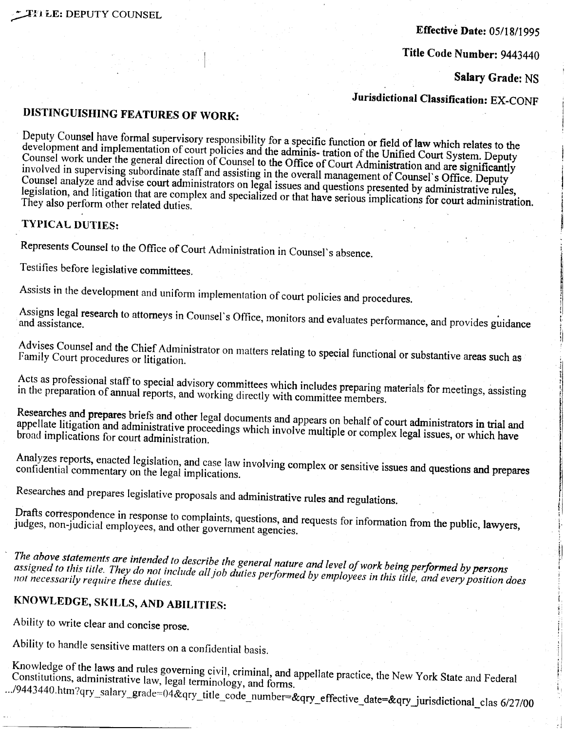### **Effective Date: 05/18/1995**

Title Code Number: 9443440

Salary Grade: NS

Jurisdictional Classification: EX-CONF

### DISTINGUISHING FEATURES OF WORK:

Deputy Counsel have formal supervisory responsibility for a specific function or field of law which relates to the development and implementation of court policies and the adminis- tration of the Unified Court System. Deputy Counsel work under the general direction of Counsel to the Office of Court Administration and are significantly involved in supervising subordinate staff and assisting in the overall management of Counsel's Office. Deputy Counsel analyze and advise court administrators on legal issues and questions presented by administrative rules, legislation, and litigation that are complex and specialized or that have serious implications for court administration. They also perform other related duties.

#### **TYPICAL DUTIES:**

Represents Counsel to the Office of Court Administration in Counsel's absence.

Testifies before legislative committees.

Assists in the development and uniform implementation of court policies and procedures.

Assigns legal research to attorneys in Counsel's Office, monitors and evaluates performance, and provides guidance

Advises Counsel and the Chief Administrator on matters relating to special functional or substantive areas such as Family Court procedures or litigation.

Acts as professional staff to special advisory committees which includes preparing materials for meetings, assisting in the preparation of annual reports, and working directly with committee members.

Researches and prepares briefs and other legal documents and appears on behalf of court administrators in trial and appellate litigation and administrative proceedings which involve multiple or complex legal issues, or which have broad implications for court administration.

Analyzes reports, enacted legislation, and case law involving complex or sensitive issues and questions and prepares confidential commentary on the legal implications.

Researches and prepares legislative proposals and administrative rules and regulations.

Drafts correspondence in response to complaints, questions, and requests for information from the public, lawyers, judges, non-judicial employees, and other government agencies.

The above statements are intended to describe the general nature and level of work being performed by persons assigned to this title. They do not include all job duties performed by employees in this title, and every position does not necessarily require these duties.

## KNOWLEDGE, SKILLS, AND ABILITIES:

Ability to write clear and concise prose.

Ability to handle sensitive matters on a confidential basis.

Knowledge of the laws and rules governing civil, criminal, and appellate practice, the New York State and Federal Constitutions, administrative law, legal terminology, and forms. .../9443440.htm?qry\_salary\_grade=04&qry\_title\_code\_number=&qry\_effective\_date=&qry\_jurisdictional\_clas 6/27/00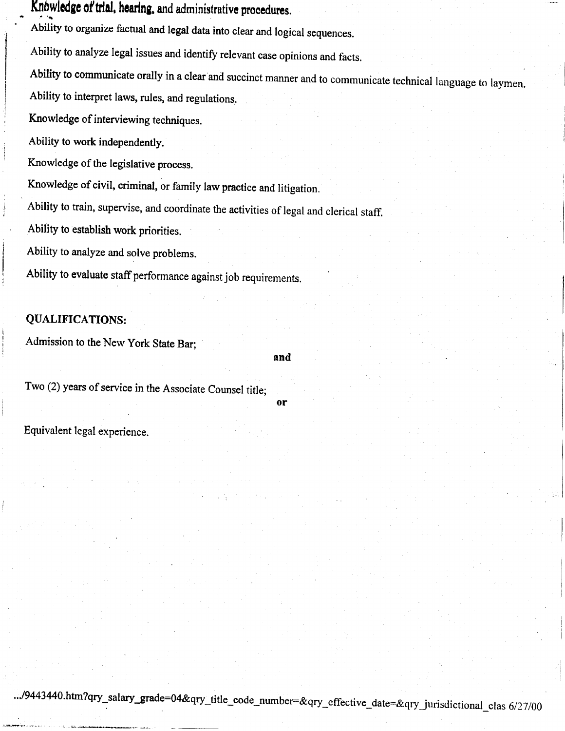#### - Knowledge of trial, hearing, and administrative procedures.

Ability to organize factual and legal data into clear and logical sequences.

Ability to analyze legal issues and identify relevant case opinions and facts.

Ability to communicate orally in a clear and succinct manner and to communicate technical language to laymen. Ability to interpret laws, rules, and regulations.

Knowledge of interviewing techniques.

Ability to work independently.

Knowledge of the legislative process.

Knowledge of civil, criminal, or family law practice and litigation.

Ability to train, supervise, and coordinate the activities of legal and clerical staff.

Ability to establish work priorities.

Ability to analyze and solve problems.

Ability to evaluate staff performance against job requirements.

## QUALIFICATIONS:

Admission to the New York State Bar;

and

or

Two (2) years of service in the Associate Counsel title:

Equivalent legal experience.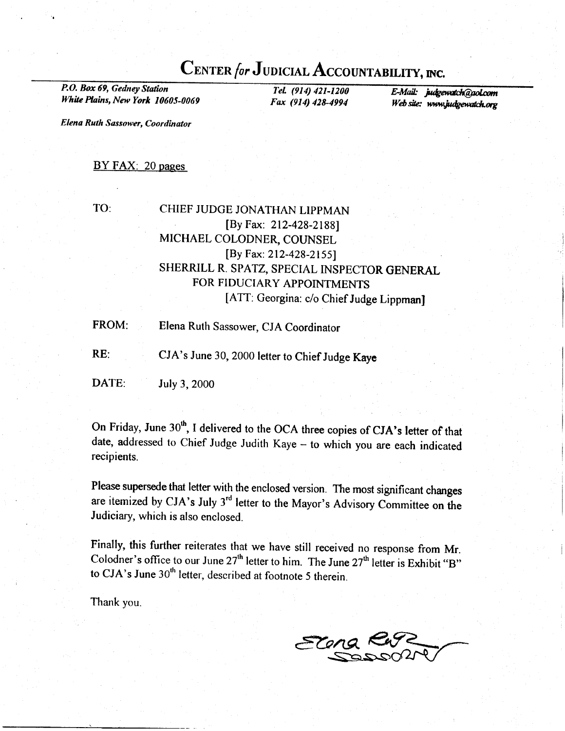## CENTER for JUDICIAL ACCOUNTABILITY, INC.

P.O, Box 69, Gedney Station White Plains, New York 10605-0069

I-el. (914) 421-1200<br>
Fax (914) 428-4994 Web site: www.judoewatch.org Web site: www.judgewatch.org

Elena Ruth Sassower, Coordinator

#### BY FAX: 20 pages

### TO: CHIEF JUDGE JONATHAN LIPPMAN [By Fax: 212-428-2188] MICHAEL COLODNER, COUNSEL [By Fax: 212-428-2155) SHERRILL R. SPATZ, SPECIAL INSPECTOR GENERAL FOR FIDUCIARY APPOINTMENTS [ATT: Georgina: c/o Chief Judge LippmanJ

- FROM: Elena Ruth Sassower, CJA Coordinator
- RE: CJA's June 30, 2000 letter to Chief Judge Kaye

DATE: July 3, 2000

On Friday, June 30<sup>th</sup>, I delivered to the OCA three copies of CJA's letter of that date, addressed to Chief Judge Judith Kaye - to which you are each indicated recipients.

Please supersede that letter with the enclosed version. The most significant changes are itemized by CJA's July 3'd letter to the Mayor's Advisory Committee on the Judiciary, which is also enclosed.

Finally, this further reiterates that we have still received no response from Mr. Colodner's office to our June  $27<sup>th</sup>$  letter to him. The June  $27<sup>th</sup>$  letter is Exhibit...B" to CJA's June  $30<sup>th</sup>$  letter, described at footnote 5 therein.

Thank you.

Elena Kurz